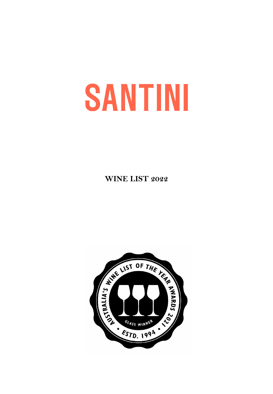# **SANTINI**

**WINE LIST 2022**

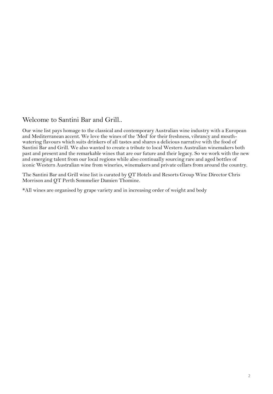#### Welcome to Santini Bar and Grill..

Our wine list pays homage to the classical and contemporary Australian wine industry with a European and Mediterranean accent. We love the wines of the 'Med' for their freshness, vibrancy and mouthwatering flavours which suits drinkers of all tastes and shares a delicious narrative with the food of Santini Bar and Grill. We also wanted to create a tribute to local Western Australian winemakers both past and present and the remarkable wines that are our future and their legacy. So we work with the new and emerging talent from our local regions while also continually sourcing rare and aged bottles of iconic Western Australian wine from wineries, winemakers and private cellars from around the country.

The Santini Bar and Grill wine list is curated by QT Hotels and Resorts Group Wine Director Chris Morrison and QT Perth Sommelier Damien Thomine.

\*All wines are organised by grape variety and in increasing order of weight and body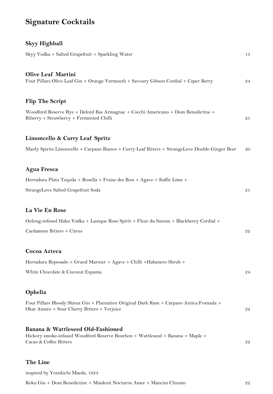## **Signature Cocktails**

## **Skyy Highball**

| Skyy Vodka + Salted Grapefruit + Sparkling Water                                                                                              | 13 |
|-----------------------------------------------------------------------------------------------------------------------------------------------|----|
| <b>Olive Leaf Martini</b><br>Four Pillars Olive Leaf Gin + Orange Vermouth + Savoury Gibson Cordial + Caper Berry                             | 24 |
| <b>Flip The Script</b>                                                                                                                        |    |
| Woodford Reserve Rye + Delord Bas Armagnac + Cocchi Americano + Dom Benedictine +<br>Riberry + Strawberry + Fermented Chilli                  | 25 |
| Limoncello & Curry Leaf Spritz                                                                                                                |    |
| Manly Spirits Limoncello + Carpano Bianco + Curry Leaf Bitters + StrangeLove Double Ginger Beer                                               | 20 |
| <b>Agua Fresca</b>                                                                                                                            |    |
| Herradura Plata Tequila + Rosella + Fraise des Bois + Agave + Kaffir Lime +                                                                   |    |
| StrangeLove Salted Grapefruit Soda                                                                                                            | 21 |
| La Vie En Rose                                                                                                                                |    |
| Oolong-infused Haku Vodka + Lanique Rose Spirit + Fleur du Sureau + Blackberry Cordial +                                                      |    |
| Cardamom Bitters + Citrus                                                                                                                     | 22 |
| Cocoa Azteca                                                                                                                                  |    |
| Herradura Reposado + Grand Marnier + Agave + Chilli + Habanero Shrub +                                                                        |    |
| White Chocolate & Coconut Espuma                                                                                                              | 24 |
| Ophelia                                                                                                                                       |    |
| Four Pillars Bloody Shiraz Gin + Plantation Original Dark Rum + Carpano Antica Formula +<br>Okar Amaro + Sour Cherry Bitters + Verjuice       | 22 |
| Banana & Wattleseed Old-Fashioned<br>Hickory smoke-infused Woodford Reserve Bourbon + Wattleseed + Banana + Maple +<br>Cacao & Coffee Bitters | 22 |
|                                                                                                                                               |    |

#### **The Line**

inspired by Yonekichi Maeda, 1924

Roku Gin + Dom Benedictine + Maidenii Nocturne Amer + Mancini Chinato 22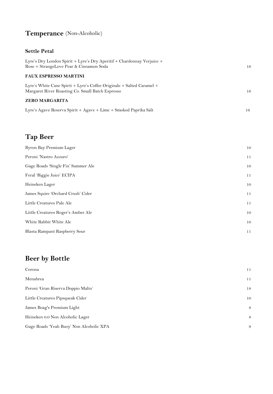## **Temperance** (Non-Alcoholic)

#### **Settle Petal**

| Lyre's Dry London Spirit + Lyre's Dry Aperitif + Chardonnay Verjuice +<br>Rose + StrangeLove Pear & Cinnamon Soda               | 16 |
|---------------------------------------------------------------------------------------------------------------------------------|----|
| <b>FAUX ESPRESSO MARTINI</b>                                                                                                    |    |
| Lyre's White Cane Spirit $+$ Lyre's Coffee Originale $+$ Salted Caramel $+$<br>Margaret River Roasting Co. Small Batch Espresso | 16 |
| <b>ZERO MARGARITA</b>                                                                                                           |    |
| Lyre's Agave Reserva Spirit + Agave + Lime + Smoked Paprika Salt                                                                | 16 |

## **Tap Beer**

| Byron Bay Premium Lager            | 10 |
|------------------------------------|----|
| Peroni 'Nastro Azzuro'             | 11 |
| Gage Roads 'Single Fin' Summer Ale | 10 |
| Feral 'Biggie Juice' ECIPA         | 11 |
| Heineken Lager                     | 10 |
| James Squire 'Orchard Crush' Cider | 11 |
| Little Creatures Pale Ale          | 11 |
| Little Creatures Roger's Amber Ale | 10 |
| White Rabbit White Ale             | 10 |
| Blasta Rampant Raspberry Sour      | 11 |

## **Beer by Bottle**

| Corona                                   | 11 |
|------------------------------------------|----|
| Menabrea                                 | 11 |
| Peroni 'Gran Riserva Doppio Malto'       | 18 |
| Little Creatures Pipsqueak Cider         | 10 |
| James Boag's Premium Light               | 8  |
| Heineken 0.0 Non Alcoholic Lager         | 8  |
| Gage Roads 'Yeah Buoy' Non Alcoholic XPA | 9  |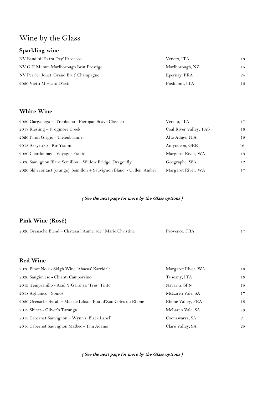## Wine by the Glass

#### **Sparkling wine**

| NV Bandini 'Extra Dry' Prosecco         | Veneto, ITA     | 13 |
|-----------------------------------------|-----------------|----|
| NV G.H Mumm Marlborough Brut Prestige   | Marlborough, NZ | 15 |
| NV Perrier Jouët 'Grand Brut' Champagne | Epernay, FRA    | 24 |
| 2020 Vietti Moscato D'asti              | Piedmont, ITA   | 15 |

#### **White Wine**

| 2020 Garganega + Trebbiano - Pieropan Soave Classico                   | Veneto, ITA            | 17 |
|------------------------------------------------------------------------|------------------------|----|
| $2018$ Riesling – Frogmore Creek                                       | Coal River Valley, TAS | 16 |
| 2020 Pinot Grigio - Tiefenbrunner                                      | Alto Adige, ITA        | 15 |
| 2018 Assyrtiko - Kir Yianni                                            | Amyndeon, GRE          | 16 |
| 2020 Chardonnay - Voyager Estate                                       | Margaret River, WA     | 19 |
| 2020 Sauvignon Blanc Semillon – Willow Bridge 'Dragonfly'              | Geographe, WA          | 12 |
| 2020 Skin contact (orange) Semillon + Sauvignon Blanc - Cullen 'Amber' | Margaret River, WA     | 17 |

#### **( See the next page for more by the Glass options )**

#### **Pink Wine (Rosé)**

| 2020 Grenache Blend – Chateau l'Aumerade 'Marie Christine'     | Provence, FRA      | 17 |
|----------------------------------------------------------------|--------------------|----|
|                                                                |                    |    |
| <b>Red Wine</b>                                                |                    |    |
| 2020 Pinot Noir - Skigh Wine 'Abacus' Karridale                | Margaret River, WA | 18 |
| 2020 Sangiovese - Chianti Camporsino                           | Tuscany, ITA       | 16 |
| 2019 Tempranillo - Azul Y Garanza 'Tres' Tinto                 | Navarra, SPN       | 15 |
| 2018 Aglianico - Somos                                         | McLaren Vale, SA   | 17 |
| 2020 Grenache Syrah – Mas de Libian 'Bout d'Zan Cotes du Rhone | Rhone Valley, FRA  | 18 |
| 2019 Shiraz - Oliver's Taranga                                 | McLaren Vale, SA   | 79 |
| 2018 Cabernet Sauvignon - Wynn's 'Black Label'                 | Coonawarra, SA     | 21 |
| 2016 Cabernet Sauvignon Malbec - Tim Adams                     | Clare Valley, SA   | 25 |

**( See the next page for more by the Glass options )**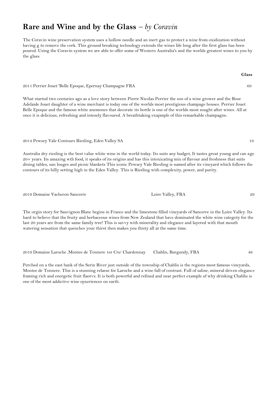## **Rare and Wine and by the Glass** *– by Coravin*

The Coravin wine preservation system uses a hollow needle and an inert gas to protect a wine from oxidization without having g to remove the cork. This ground breaking technology extends the wines life long after the first glass has been poured. Using the Coravin system we are able to offer some of Western Australia's and the worlds greatest wines to you by the glass.

2011 Perrier Jouet 'Belle Epoque, Epernay Champagne FRA 69

What started two centuries ago as a love story between Pierre Nicolas Perrier the son of a wine grower and the Rose Adelaide Jouet daughter of a wine merchant is today one of the worlds most prestigious champage houses. Perrier Jouet Belle Epoque and the famous white anemones that decorate its bottle is one of the worlds most sought after wines. All at once it is delicious, refreshing and intesely flavoured. A breathtaking exapmple of this remarkable champagne.

2014 Pewsey Vale Contours Riesling, Eden Valley SA 19

Australia dry riesling is the best value white wine in the world today. Its suits any budget, It tastes great young and can age 20+ years. Its amazing wth food, it speaks of its origins and has this intoxicating mix of flavour and freshness that suits dining tables, sun louges and picnic blankets This iconic Pewsey Vale Riesling is named after its vineyard which follows the contours of its hilly setting high in the Eden Valley. This is Riesling with complexity, power, and purity.

2019 Domaine Vacheron Sancerre Loire Valley, FRA 29

The orgin story for Sauvignon Blanc begins in France and the limestone filled vineyards of Sancerre in the Loire Valley. Its hard to believe that the fruity and herbaceous wines from New Zealand that have dominated the white wine categoty for the last 20 years are from the same family tree! This is savvy with minerality and elegance and layered with that mouth watering sensation that quenches your thirst then makes you thisty all at the same time.

2019 Domaine Laroche 'Montee de Tonnere 1er Cru' Chardonnay Chablis, Burgundy, FRA 46

Perched on a the east bank of the Serin River just outside of the township of Chablis is the regions most famous vineyards, Montee de Tonnere. This is a stunning relaese for Laroche and a wine full of contrast. Full of saline, mineral driven elegance framing rich and energetic fruit flaorvs. It is both powerful and refined and near perfect example of why drinking Chablis is one of the most addictive wine epxeriences on earth.

**Glass**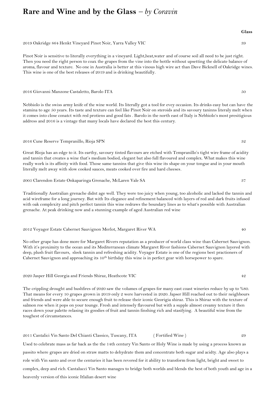## **Rare and Wine and by the Glass** *– by Coravin*

2019 Oakridge 864 Henkt Vineyard Pinot Noir, Yarra Valley VIC 39

Pinot Noir is sensitive to literally everything in a vineyard. Light,heat,water and of course soil all need to be just right. Then you need the right person to coax the grapes from the vine into the bottle without upsetting the delicate balance of aroma, flavour and texture. No one in Australia is better at this vinous high wire act than Dave Bicknell of Oakridge wines. This wine is one of the best releases of 2019 and is drinking beautifully.

2016 Giovanni Manzone Castaletto, Barolo ITA 50

Nebbiolo is the swiss army knife of the wine world. Its literally got a tool for evey occasion. Its drinks easy but can have the stamina to age 50 years. Its taste and texture can feel like Pinot Noir on steroids and its savoury taninns literaly melt when it comes into close conatct with red protiens and good fats . Barolo in the north east of Italy is Nebbiolo's most presitigious address and 2016 is a vintage that many locals have declared the best this century.

2016 Cune Reserve Tempranillo, Rioja SPN 32

Great Rioja has an edge to it. Its earthy, savoury tinted flavours are etched with Tempranillo's tight wire frame of acidity and tannin that creates a wine that's medium bodied, elegant but also full flavoured and complex. What makes this wine really work is its affinity with food. Those same tannins that give this wine its shape on your tongue and in your mouth literally melt away with slow cooked sauces, meats cooked over fire and hard cheeses.

2005 Clarendon Estate Onkaparinga Grenache, McLaren Vale SA 37

Traditionally Australian grenache didnt age well. They were too juicy when young, too alcoholic and lacked the tannin and acid wireframe for a long journey. But with Its elegance and refinement balanced with layers of red and dark fruits infused with oak complexity and pitch perfect tannin this wine redraws the boundary lines as to what's possible with Australian grenache. At peak drinking now and a stunning example of aged Australian red wine

2012 Voyager Estate Cabernet Sauvignon Merlot, Margaret River WA 40

No other grape has done more for Margaret Rivers reputation as a producer of world class wine than Cabernet Sauvignon. With it's proximity to the ocean and its Mediterranean climate Margaret River fashions Cabernet Sauvignon layered with deep, plush fruit flavours, sleek tannin and refreshing acidity. Voyager Estate is one of the regions best practioners of Cabernet Sauvignon and approaching its 10<sup>th</sup> birthday this wine is in perfect gear with horsepower to spare.

2020 Jasper Hill Georgia and Friends Shiraz, Heathcote VIC 42

The crippling drought and bushfires of 2020 saw the volumes of grapes for many east coast wineries reduce by up to %80. That means for every 10 grapes grown in 2019 only 2 were harvested in 2020. Japser Hill reached out to their neighbours and friends and were able to secure enough fruit to release their iconic Georigia shiraz. This is Shiraz with the texture of salmon roe when it pops on your tounge. Fresh and intensely flavoured but with a supple almost creamy texture it then races down your palette relasing its goodies of fruit and tannin finshing rich and stasifying. A beautiful wine from the toughest of circumstances.

2011 Cantalici Vin Santo Del Chianti Classico, Tuscany, ITA ( Fortified Wine ) 29 Used to celebrate mass as far back as the the 14th century Vin Santo or Holy Wine is made by using a process known as passito where grapes are dried on straw matts to dehydrate them and concentrate both sugar and acidty. Age also plays a role with Vin santo and over the centuries it has been revered for it ability to transform from light, bright and sweet to complex, deep and rich. Cantalucci Vin Santo manages to bridge both worlds and blends the best of both youth and age in a heavenly version of this iconic Itlalian desert wine

**Glass**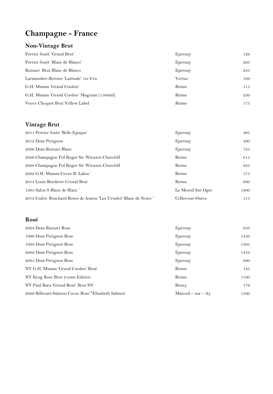## **Champagne - France**

#### **Non-Vintage Brut**

| Perrier Jouët 'Grand Brut'               | Epernay | 129 |
|------------------------------------------|---------|-----|
| Perrier Jouët 'Blanc de Blancs'          | Epernay | 295 |
| Ruinart Brut Blanc de Blancs             | Epernay | 245 |
| Larmandier-Bernier 'Latitude' 1er Cru    | Vertus  | 169 |
| G.H. Mumm 'Grand Cordon'                 | Reims   | 115 |
| G.H. Mumm 'Grand Cordon' Magnum (1500ml) | Reims   | 230 |
| Veuve Clicquot Brut Yellow Label         | Reims   | 175 |

#### **Vintage Brut**

| 2011 Perrier Jouët 'Belle Epoque'                                   | Epernay            | 495  |
|---------------------------------------------------------------------|--------------------|------|
| 2012 Dom Perignon                                                   | Epernay            | 490  |
| 2006 Dom Ruinart Blanc                                              | Epernay            | 725  |
| 2006 Champagne Pol Roger Sir Winston Churchill                      | Reims              | 815  |
| 2008 Champagne Pol Roger Sir Winston Churchill                      | Reims              | 825  |
| 2002 G.H. Mumm Cuvee R. Lalou '                                     | Reims              | 575  |
| 2013 Louis Roederer Cristal Brut                                    | Reims              | 690  |
| 1995 Salon S Blanc de Blanc'                                        | Le Mesnil Sur Oger | 1900 |
| 2012 Cedric Bouchard Roses de Jeanne 'Les Ursules' Blanc de Noirs ' | Celles-sur-Ource   | 515  |

#### **Rosé**

| 2004 Dom Ruinart Rose                               | Epernay               | 950  |
|-----------------------------------------------------|-----------------------|------|
| 1996 Dom Perignon Rose                              | Epernay               | 1450 |
| 1998 Dom Perignon Rose                              | Epernay               | 1395 |
| 2002 Dom Perignon Rose                              | Epernay               | 1410 |
| 2005 Dom Perignon Rose                              | Epernay               | 990  |
| NV G.H. Mumm 'Grand Cordon' Rosé                    | Reims                 | 145  |
| NV Krug Rose Brut 21eme Edition                     | Reims                 | 1190 |
| NV Paul Bara 'Grand Rosé' Brut NV                   | Bouzy                 | 179  |
| 2008 Billecart-Salmon Cuvee Rose "Elisabeth Salmon' | $M$ areuil – sur – Ay | 1500 |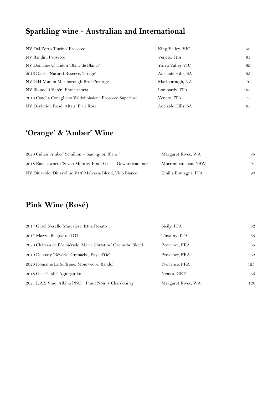## **Sparkling wine - Australian and International**

| NV Dal Zotto 'Pucino' Prosecco                           | King Valley, VIC   | 58  |
|----------------------------------------------------------|--------------------|-----|
| NV Bandini Prosecco                                      | Veneto, ITA        | 65  |
| NV Domaine Chandon 'Blanc de Blancs'                     | Yarra Valley VIC   | 69  |
| 2016 Daosa 'Natural Reserve, Tirage'                     | Adelaide Hills, SA | 95  |
| NV G.H Mumm Marlborough Brut Prestige                    | Marlborough, NZ    | 70  |
| NV Biondelli 'Satén' Franciacorta                        | Lombardy, ITA      | 185 |
| 2018 Canella Conegliano Valdobbiadene Prosecco Superiore | Veneto, ITA        | 75  |
| NV Deviation Road 'Altair' Brut Rosé                     | Adelaide Hills, SA | 65  |

## **'Orange' & 'Amber' Wine**

| 2020 Cullen 'Amber' Semillon + Sauvignon Blanc '             | Margaret River, WA  | 85 |
|--------------------------------------------------------------|---------------------|----|
| 2018 Ravensworth 'Seven Months' Pinot Gris + Gewurztraminer' | Murrumbateman, NSW  | 94 |
| NV Dinavolo 'Dinavolino V16' Malvasia Blend, Vino Bianco     | Emilia Romagna, ITA | 90 |

## **Pink Wine (Rosé)**

| 2017 Graci Nerello Mascalese, Etna Rosato                   | Sicily, ITA        | 82  |
|-------------------------------------------------------------|--------------------|-----|
| 2017 Mazzei Belguardo IGT                                   | Tuscany, ITA       | 63  |
| 2020 Château de l'Aumérade 'Marie Christine' Grenache Blend | Provence, FRA      | 85  |
| 2019 Debussy 'Rêverie' Grenache, Pays d'Oc'                 | Provence, FRA      | 62  |
| 2020 Domaine La Suffrene, Mourvedre, Bandol                 | Provence, FRA      | 125 |
| 2018 Gaia '4-6hr' Agiorgitiko                               | Nemea, GRE         | 65  |
| 2021 L.A.S Vino 'Albino PNO', Pinot Noir + Chardonnay       | Margaret River, WA | 120 |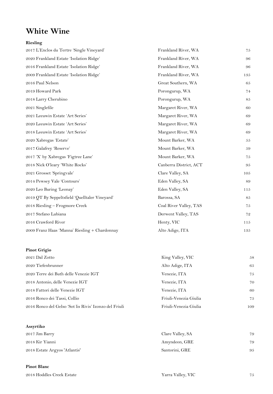## **White Wine**

#### **Riesling**

| Frankland River, WA    | 75  |
|------------------------|-----|
| Frankland River, WA    | 96  |
| Frankland River, WA    | 96  |
| Frankland River, WA    | 135 |
| Great Southern, WA     | 65  |
| Porongurup, WA         | 74  |
| Porongurup, WA         | 85  |
| Margaret River, WA     | 60  |
| Margaret River, WA     | 69  |
| Margaret River, WA     | 69  |
| Margaret River, WA     | 69  |
| Mount Barker, WA       | 55  |
| Mount Barker, WA       | 59  |
| Mount Barker, WA       | 75  |
| Canberra District, ACT | 95  |
| Clare Valley, SA       | 105 |
| Eden Valley, SA        | 89  |
| Eden Valley, SA        | 115 |
| Barossa, SA            | 85  |
| Coal River Valley, TAS | 75  |
| Derwent Valley, TAS    | 72  |
| Henty, VIC             | 115 |
| Alto Adige, ITA        | 135 |
|                        |     |

#### **Pinot Grigio**

| 2021 Dal Zotto                                         | King Valley, VIC      | 58  |
|--------------------------------------------------------|-----------------------|-----|
| 2020 Tiefenbrunner                                     | Alto Adige, ITA       | 65  |
| 2020 Terre dei Buth delle Venezie IGT                  | Venezie, ITA          | 75  |
| 2018 Antonio, delle Venezie IGT                        | Venezie, ITA          | 70  |
| 2018 Fattori delle Venezie IGT                         | Venezie, ITA          | 60  |
| 2016 Ronco dei Tassi, Collio                           | Friuli-Venezia Giulia | 75  |
| 2016 Ronco del Gelso 'Sot lis Rivis' Izonzo del Friuli | Friuli-Venezia Giulia | 109 |

| Assyrtiko                     |                  |    |
|-------------------------------|------------------|----|
| 2017 Jim Barry                | Clare Valley, SA | 79 |
| 2018 Kir Yianni               | Amyndeon, GRE    | 79 |
| 2018 Estate Argyos 'Atlantis' | Santorini, GRE   | 95 |

#### **Pinot Blanc**

2018 Hoddles Creek Estate  $\qquad \qquad$  75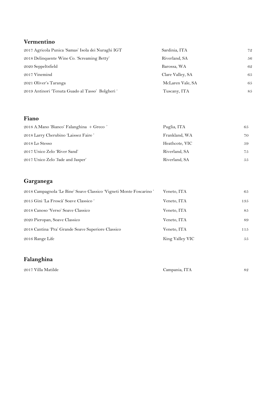#### **Vermentino**

| 2017 Agricola Punica 'Samas' Isola dei Nuraghi IGT | Sardinia, ITA    | 72  |
|----------------------------------------------------|------------------|-----|
| 2018 Delinquente Wine Co. 'Screaming Betty'        | Riverland, SA    | .56 |
| 2020 Seppeltsfield                                 | Barossa, WA      | 62  |
| 2017 Vinemind                                      | Clare Valley, SA | 65  |
| 2021 Oliver's Taranga                              | McLaren Vale, SA | 65  |
| 2019 Antinori 'Tenuta Guado al Tasso' Bolgheri '   | Tuscany, ITA     | 85  |

#### **Fiano**

| 2018 A.Mano 'Bianco' Falanghina + Greco' | Puglia, ITA    | 65 |
|------------------------------------------|----------------|----|
| 2018 Larry Cherubino 'Laissez Faire'     | Frankland, WA  | 70 |
| 2018 Lo Stesso                           | Heathcote, VIC | 59 |
| 2017 Unico Zelo 'River Sand'             | Riverland, SA  | 75 |
| 2017 Unico Zelo 'Jade and Jasper'        | Riverland, SA  | 55 |

#### **Garganega**

| 2018 Campagnola 'Le Bine' Soave Classico 'Vigneti Monte Foscarino' | Veneto, ITA     | 65  |
|--------------------------------------------------------------------|-----------------|-----|
| 2015 Gini 'La Froscà' Soave Classico '                             | Veneto, ITA     | 135 |
| 2018 Canoso 'Verso' Soave Classico                                 | Veneto, ITA     | 85  |
| 2020 Pieropan, Soave Classico                                      | Veneto, ITA     | 89  |
| 2018 Cantina 'Pra' Grande Soave Superiore Classico                 | Veneto, ITA     | 115 |
| 2016 Range Life                                                    | King Valley VIC | 55  |

#### **Falanghina**

2017 Villa Matilde Campania, ITA 82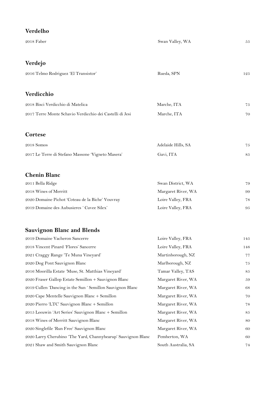| Verdelho                                                      |                     |     |
|---------------------------------------------------------------|---------------------|-----|
| 2018 Faber                                                    | Swan Valley, WA     | 55  |
| Verdejo                                                       |                     |     |
| 2016 Telmo Rodriguez 'El Transistor'                          | Rueda, SPN          | 125 |
| Verdicchio                                                    |                     |     |
| 2018 Bisci Verdicchio di Matelica                             | Marche, ITA         | 75  |
| 2017 Terre Monte Schavio Verdicchio dei Castelli di Jesi      | Marche, ITA         | 70  |
| Cortese                                                       |                     |     |
| 2018 Somos                                                    | Adelaide Hills, SA  | 75  |
| 2017 Le Terre di Stefano Massone 'Vigneto Masera'             | Gavi, ITA           | 85  |
| <b>Chenin Blanc</b>                                           |                     |     |
| 2011 Bella Ridge                                              | Swan District, WA   | 79  |
| 2018 Wines of Merritt                                         | Margaret River, WA  | 99  |
| 2020 Domaine Pichot 'Coteau de la Biche' Vouvray              | Loire Valley, FRA   | 78  |
| 2019 Domaine des Aubusieres 'Cuvee Silex'                     | Loire Valley, FRA   | 95  |
| <b>Sauvignon Blanc and Blends</b>                             |                     |     |
| 2019 Domaine Vacheron Sancerre                                | Loire Valley, FRA   | 145 |
| 2018 Vincent Pinard 'Flores' Sancerre                         | Loire Valley, FRA   | 148 |
| 2021 Craggy Range 'Te Muna Vineyard'                          | Martinborough, NZ   | 77  |
| 2020 Dog Pont Sauvignon Blanc                                 | Marlborough, NZ     | 75  |
| 2016 Moorilla Estate 'Muse, St. Matthias Vineyard'            | Tamar Valley, TAS   | 85  |
| 2020 Fraser Gallop Estate Semillon + Sauvignon Blanc          | Margaret River, WA  | 59  |
| 2019 Cullen 'Dancing in the Sun ' Semillon Sauvignon Blanc    | Margaret River, WA  | 68  |
| 2020 Cape Mentelle Sauvignon Blanc + Semillon                 | Margaret River, WA  | 70  |
| 2020 Pierro 'LTC' Sauvignon Blanc + Semillon                  | Margaret River, WA  | 78  |
| 2015 Leeuwin 'Art Series' Sauvignon Blanc + Semillon          | Margaret River, WA  | 85  |
| 2018 Wines of Merritt Sauvignon Blanc                         | Margaret River, WA  | 80  |
| 2020 Singlefile 'Run Free' Sauvignon Blanc                    | Margaret River, WA  | 60  |
| 2020 Larry Cherubino 'The Yard, Channybearup' Sauvignon Blanc | Pemberton, WA       | 60  |
| 2021 Shaw and Smith Sauvignon Blanc                           | South Australia, SA | 74  |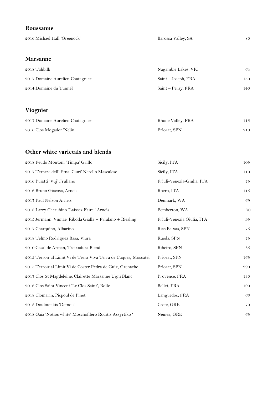#### **Roussanne**

2016 Michael Hall 'Greenock' Barossa Valley, SA 80

#### **Marsanne**

| 2018 Tahbilk                     | Nagambie Lakes, VIC | 64  |
|----------------------------------|---------------------|-----|
| 2017 Domaine Aurelien Chatagnier | Saint – Joseph, FRA | 150 |
| 2014 Domaine du Tunnel           | Saint – Peray, FRA  | 140 |

#### **Viognier**

| 2017 Domaine Aurelien Chatagnier | Rhone Valley, FRA | 115 |
|----------------------------------|-------------------|-----|
| 2016 Clos Mogador 'Nelin'        | Priorat, SPN      | 210 |

#### **Other white varietals and blends**

| 2018 Feudo Montoni 'Timpa' Grillo                                | Sicily, ITA                | 105      |
|------------------------------------------------------------------|----------------------------|----------|
| 2017 Terraze dell' Etna 'Ciuri' Nerello Mascalese                | Sicily, ITA                | 110      |
| 2016 Puiatti 'Vuj' Fruliano                                      | Friuli-Venezia-Giulia, ITA | 75       |
| 2016 Bruno Giacosa, Arneis                                       | Roero, ITA                 | 115      |
| 2017 Paul Nelson Arneis                                          | Denmark, WA                | 69       |
| 2018 Larry Cherubino 'Laissez Faire' Arneis                      | Pemberton, WA              | 70       |
| 2015 Jermann 'Vinnae' Ribolla Gialla + Friulano + Riesling       | Friuli-Venezia Giulia, ITA | 95       |
| 2017 Charquino, Albarino                                         | Rias Baixas, SPN           | $7\,5$   |
| 2018 Telmo Rodriguez Basa, Viura                                 | Rueda, SPN                 | 75       |
| 2010 Casal de Arman, Treixadura Blend                            | Ribeiro, SPN               | $\bf 85$ |
| 2013 Terroir al Limit Vi de Terra Viva Terra de Cuques, Moscatel | Priorat, SPN               | 165      |
| 2015 Terroir al Limit Vi de Coster Pedra de Guix, Grenache       | Priorat, SPN               | 290      |
| 2017 Clos St Magdeleine, Clairette Marsanne Ugni Blanc           | Provence, FRA              | 130      |
| 2016 Clos Saint Vincent 'Le Clos Saint', Rolle                   | Bellet, FRA                | 190      |
| 2018 Clomarin, Picpoul de Pinet                                  | Languedoc, FRA             | 63       |
| 2018 Douloufakis 'Dafnois'                                       | Crete, GRE                 | 70       |
| 2018 Gaia 'Notios white' Moschofilero Roditis Assyrtiko '        | Nemea, GRE                 | 65       |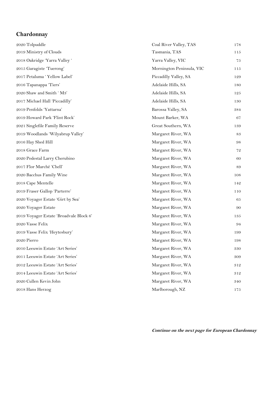## **Chardonnay**

| 2020 Tolpuddle                          | Coal River Valley, TAS    | 178 |
|-----------------------------------------|---------------------------|-----|
| 2019 Ministry of Clouds                 | Tasmania, TAS             | 115 |
| 2018 Oakridge 'Yarra Valley'            | Yarra Valley, VIC         | 75  |
| 2015 Garagiste 'Tuerong'                | Mornington Peninsula, VIC | 115 |
| 2017 Petaluma 'Yellow Label'            | Piccadilly Valley, SA     | 129 |
| 2016 Tapanappa 'Tiers'                  | Adelaide Hills, SA        | 180 |
| 2020 Shaw and Smith 'M3'                | Adelaide Hills, SA        | 125 |
| 2017 Michael Hall 'Piccadilly'          | Adelaide Hills, SA        | 130 |
| 2019 Penfolds 'Yattarna'                | Barossa Valley, SA        | 384 |
| 2019 Howard Park 'Flint Rock'           | Mount Barker, WA          | 67  |
| 2021 Singlefile Family Reserve          | Great Southern, WA        | 139 |
| 2019 Woodlands 'Wilyabrup Valley'       | Margaret River, WA        | 83  |
| 2016 Hay Shed Hill                      | Margaret River, WA        | 98  |
| 2018 Grace Farm                         | Margaret River, WA        | 72  |
| 2020 Pedestal Larry Cherubino           | Margaret River, WA        | 60  |
| 2017 Flor Marché 'Chell'                | Margaret River, WA        | 89  |
| 2020 Bacchus Family Wine                | Margaret River, WA        | 108 |
| 2018 Cape Mentelle                      | Margaret River, WA        | 142 |
| 2019 Fraser Gallop 'Parterre'           | Margaret River, WA        | 110 |
| 2020 Voyager Estate 'Girt by Sea'       | Margaret River, WA        | 65  |
| 2020 Voyager Estate                     | Margaret River, WA        | 90  |
| 2019 Voyager Estate 'Broadvale Block 6' | Margaret River, WA        | 135 |
| 2020 Vasse Felix                        | Margaret River, WA        | 94  |
| 2019 Vasse Felix 'Heytesbury'           | Margaret River, WA        | 199 |
| 2020 Pierro                             | Margaret River, WA        | 198 |
| 2010 Leeuwin Estate 'Art Series'        | Margaret River, WA        | 330 |
| 2011 Leeuwin Estate 'Art Series'        | Margaret River, WA        | 309 |
| 2012 Leeuwin Estate 'Art Series'        | Margaret River, WA        | 312 |
| 2014 Leeuwin Estate 'Art Series'        | Margaret River, WA        | 312 |
| 2020 Cullen Kevin John                  | Margaret River, WA        | 340 |
| 2018 Hans Herzog                        | Marlborough, NZ           | 175 |

**Continue on the next page for European Chardonnay**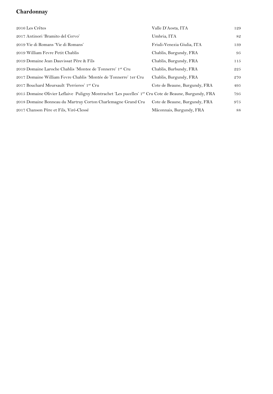#### **Chardonnay**

| 2016 Les Crêtes                                                                                       | Valle D'Aosta, ITA            | 129 |
|-------------------------------------------------------------------------------------------------------|-------------------------------|-----|
| 2017 Antinori 'Bramito del Cervo'                                                                     | Umbria, ITA                   | 82  |
| 2019 Vie di Romans 'Vie di Romans'                                                                    | Friuli-Venezia Giulia, ITA    | 139 |
| 2019 William Fevre Petit Chablis                                                                      | Chablis, Burgundy, FRA        | 95  |
| 2019 Domaine Jean Dauvissat Père & Fils                                                               | Chablis, Burgundy, FRA        | 115 |
| 2019 Domaine Laroche Chablis 'Montee de Tonnerre' 1 <sup>er</sup> Cru                                 | Chablis, Burbundy, FRA        | 225 |
| 2017 Domaine William Fevre Chablis 'Montée de Tonnerre' 1er Cru                                       | Chablis, Burgundy, FRA        | 270 |
| 2017 Bouchard Meursault 'Perrieres' 1er Cru                                                           | Cote de Beaune, Burgundy, FRA | 495 |
| 2015 Domaine Olivier Leflaive Puligny Montrachet 'Les pucelles' 1er Cru Cote de Beaune, Burgundy, FRA |                               | 795 |
| 2018 Domaine Bonneau du Martray Corton Charlemagne Grand Cru                                          | Cote de Beaune, Burgundy, FRA | 975 |
| 2017 Chanson Père et Fils, Viré-Clessé                                                                | Mâconnais, Burgundy, FRA      | 88  |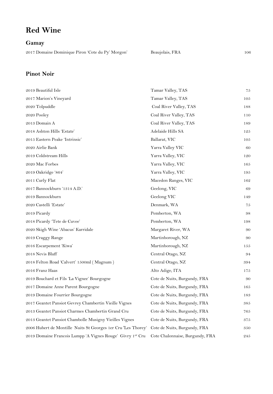## **Red Wine**

**Gamay**

2017 Domaine Dominique Piron 'Cote du Py' Morgon' Beaujolais, FRA 106

#### **Pinot Noir**

| 2019 Beautiful Isle                                           | Tamar Valley, TAS               | 75  |
|---------------------------------------------------------------|---------------------------------|-----|
| 2017 Marion's Vineyard                                        | Tamar Valley, TAS               | 105 |
| 2020 Tolpuddle                                                | Coal River Valley, TAS          | 188 |
| 2020 Pooley                                                   | Coal River Valley, TAS          | 110 |
| 2013 Domain A                                                 | Coal River Valley, TAS          | 189 |
| 2018 Ashton Hills 'Estate'                                    | Adelaide Hills SA               | 125 |
| 2015 Eastern Peake 'Intrinsic'                                | Ballarat, VIC                   | 105 |
| 2020 Airlie Bank                                              | Yarra Valley VIC                | 60  |
| 2019 Coldstream Hills                                         | Yarra Valley, VIC               | 120 |
| 2020 Mac Forbes                                               | Yarra Valley, VIC               | 165 |
| 2019 Oakridge '864'                                           | Yarra Valley, VIC               | 195 |
| 2011 Curly Flat                                               | Macedon Ranges, VIC             | 162 |
| 2017 Bannockburn '1314 A.D.'                                  | Geelong, VIC                    | 69  |
| 2019 Bannockburn                                              | Geelong VIC                     | 149 |
| 2020 Castelli 'Estate'                                        | Denmark, WA                     | 75  |
| 2019 Picardy                                                  | Pemberton, WA                   | 98  |
| 2018 Picardy 'Tete de Cuvee'                                  | Pemberton, WA                   | 198 |
| 2020 Skigh Wine 'Abacus' Karridale                            | Margaret River, WA              | 90  |
| 2019 Craggy Range                                             | Martinborough, NZ               | 90  |
| 2016 Escarpement 'Kiwa'                                       | Martinborough, NZ               | 155 |
| 2018 Nevis Bluff                                              | Central Otago, NZ               | 94  |
| 2018 Felton Road 'Calvert' 1500ml (Magnum)                    | Central Otago, NZ               | 394 |
| 2016 Franz Haas                                               | Alto Adige, ITA                 | 175 |
| 2019 Bouchard et Fils 'La Vignee' Bourgogne                   | Cote de Nuits, Burgundy, FRA    | 90  |
| 2017 Domaine Anne Parent Bourgogne                            | Cote de Nuits, Burgundy, FRA    | 165 |
| 2019 Domaine Fourrier Bourgogne                               | Cote de Nuits, Burgundy, FRA    | 183 |
| 2017 Geantet Pansiot Gevrey Chambertin Vieille Vignes         | Cote de Nuits, Burgundy, FRA    | 385 |
| 2013 Geantet Pansiot Charmes Chambertin Grand Cru             | Cote de Nuits, Burgundy, FRA    | 765 |
| 2013 Geantet Pansiot Chambolle Musigny Vieilles Vignes        | Cote de Nuits, Burgundy, FRA    | 375 |
| 2006 Hubert de Montille Nuits St Georges 1er Cru 'Les Thorey' | Cote de Nuits, Burgundy, FRA    | 350 |
| 2019 Domaine Francois Lumpp 'A Vignes Rouge' Givry 1er Cru    | Cote Chalonnaise, Burgundy, FRA | 245 |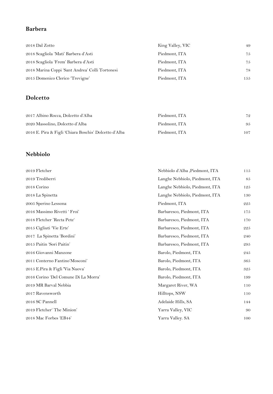#### **Barbera**

| 2018 Dal Zotto                                  | King Valley, VIC | 49  |
|-------------------------------------------------|------------------|-----|
| 2018 Scagliola 'Mati' Barbera d'Asti            | Piedmont, ITA    | 75  |
| 2018 Scagliola 'Frem' Barbera d'Asti            | Piedmont, ITA    | 75  |
| 2018 Marina Coppi 'Sant Andrea' Colli Tortonesi | Piedmont, ITA    | 78  |
| 2015 Domenico Clerico 'Trevigne'                | Piedmont, ITA    | 155 |

#### **Dolcetto**

| 2017 Albino Rocca, Dolcetto d'Alba                    | Piedmont, ITA | 79  |
|-------------------------------------------------------|---------------|-----|
| 2020 Massolino, Dolcetto d'Alba                       | Piedmont, ITA | 95  |
| 2016 E. Pira & Figli 'Chiara Boschis' Dolcetto d'Alba | Piedmont, ITA | 107 |

#### **Nebbiolo**

| 2019 Fletcher                        | Nebbiolo d'Alba , Piedmont, ITA | 115 |
|--------------------------------------|---------------------------------|-----|
| 2019 Trediberri                      | Langhe Nebbiolo, Piedmont, ITA  | 85  |
| 2018 Corino                          | Langhe Nebbiolo, Piedmont, ITA  | 125 |
| 2018 La Spinetta                     | Langhe Nebbiolo, Piedmont, ITA  | 130 |
| 2005 Sperino Lessona                 | Piedmont, ITA                   | 225 |
| 2016 Massimo Rivetti ' Froi'         | Barbaresco, Piedmont, ITA       | 175 |
| 2018 Fletcher 'Recta Pete'           | Barbaresco, Piedmont, ITA       | 170 |
| 2015 Cigliuti Vie Erte'              | Barbaresco, Piedmont, ITA       | 225 |
| 2017 La Spinetta 'Bordini'           | Barbaresco, Piedmont, ITA       | 240 |
| 2015 Paitin 'Sori Paitin'            | Barbaresco, Piedmont, ITA       | 295 |
| 2016 Giovanni Manzone                | Barolo, Piedmont, ITA           | 245 |
| 2011 Conterno Fantino Mosconi'       | Barolo, Piedmont, ITA           | 365 |
| 2015 E.Pira & Figli 'Via Nuova'      | Barolo, Piedmont, ITA           | 325 |
| 2016 Corino 'Del Comune Di La Morra' | Barolo, Piedmont, ITA           | 199 |
| 2019 MR Barval Nebbia                | Margaret River, WA              | 110 |
| 2017 Ravensworth                     | Hilltops, NSW                   | 110 |
| 2016 SC Pannell                      | Adelaide Hills, SA              | 144 |
| 2019 Fletcher' The Minion'           | Yarra Valley, VIC               | 90  |
| 2018 Mac Forbes 'EB44'               | Yarra Valley. SA                | 100 |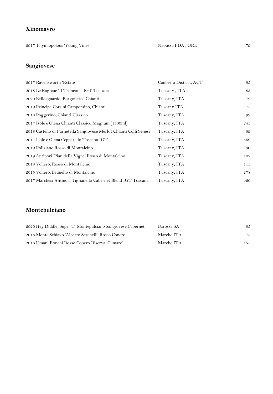#### **Xinomavro**

2017 Thymiopolous 'Young Vines Naoussa PDA , GRE 79

#### **Sangiovese**

| 2017 Ravensworth 'Estate'                                          | Canberra District, ACT | 95  |
|--------------------------------------------------------------------|------------------------|-----|
| 2018 Le Ragnaie 'Il Troncone' IGT Toscana                          | Tuscany, ITA           | 85  |
| 2020 Bellosguardo 'Borgofiero', Chianti                            | Tuscany, ITA           | 72  |
| 2019 Principe Corsini Camporsino, Chianti                          | Tuscany ITA            | 75  |
| 2018 Poggerino, Chianti Classico                                   | Tuscany, ITA           | 99  |
| 2017 Isole e Olena Chianti Classico Magnum (1500ml)                | Tuscany, ITA           | 245 |
| 2018 Castello di Farnetella Sangiovese Merlot Chianti Colli Senesi | Tuscany, ITA           | 89  |
| 2017 Isole e Olena Cepparello Toscana IGT                          | Tuscany, ITA           | 369 |
| 2019 Poliziano Rosso di Montalcino                                 | Tuscany, ITA           | 90  |
| 2019 Antinori 'Pian della Vigne' Rosso di Montalcino               | Tuscany, ITA           | 102 |
| 2018 Voliero, Rosso di Montalcino                                  | Tuscany, ITA           | 115 |
| 2015 Voliero, Brunello di Montalcino                               | Tuscany, ITA           | 278 |
| 2017 Marchesi Antinori Tignanello Cabernet Blend IGT Toscana       | Tuscany, ITA           | 420 |

#### **Montepulciano**

| 2020 Hey Diddle 'Super T' Montepulciano Sangiovese Cabernet | Barossa SA | 85  |
|-------------------------------------------------------------|------------|-----|
| 2018 Monte Schiavo 'Alberto Serenelli' Rosso Conero         | Marche ITA | 75  |
| 2016 Umani Ronchi Rosso Conero Riserva 'Cumaro'             | Marche ITA | 155 |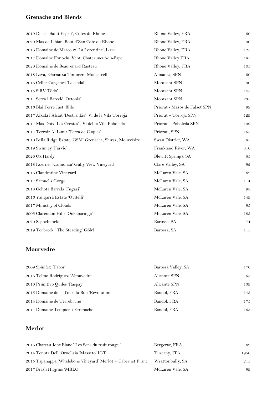#### **Grenache and Blends**

| 2019 Delas ' Saint Esprit', Cotes du Rhone                | Rhone Valley, FRA             | 60          |
|-----------------------------------------------------------|-------------------------------|-------------|
| 2020 Mas de Libian 'Bout d'Zan Cote du Rhone              | Rhone Valley, FRA             | 90          |
| 2016 Domaine de Marcoux 'La Lorentine', Lirac             | Rhone Valley, FRA             | 125         |
| 2017 Domaine Font-du-Vent, Chateauneuf-du-Pape            | Rhone Valley FRA              | 185         |
| 2020 Domaine de Beaurenard Rasteau                        | Rhone Valley, FRA             | 105         |
| 2018 Laya, Garnatxa Tintorera Monastrell                  | Almansa, SPN                  | 60          |
| 2016 Celler Capçanes 'Lasendal'                           | Montsant SPN                  | 90          |
| 2015 SiRV 'Dido'                                          | Montsant SPN                  | 145         |
| 2011 Serra i Barceló 'Octonia'                            | Montsant SPN                  | 235         |
| 2016 Blai Ferre Just 'Billo'                              | Priorat - Masos de Falset SPN | 99          |
| 2017 Aixalà i Alcait 'Destrankis' Vi de la Vila Torroja   | Priorat - Torroja SPN         | 129         |
| 2017 Mas Doix 'Les Crestes', Vi del la Vila Poboleda      | Priorat - Poboleda SPN        | 199         |
| 2017 Terroir Al Limit 'Terra de Cuques'                   | Priorat, SPN                  | 165         |
| 2010 Bella Ridge Estate 'GSM' Grenache, Shiraz, Mourvèdre | Swan District, WA             | 85          |
| 2019 Swinney 'Farvie'                                     | Frankland River, WA           | 310         |
| 2020 Ox Hardy                                             | Blewitt Springs, SA           | 85          |
| 2018 Koerner 'Cannonau' Gully View Vineyard               | Clare Valley, SA              | 92          |
| 2016 Clandestine Vineyard                                 | McLaren Vale, SA              | $8\sqrt{2}$ |
| 2017 Samuel's Gorge                                       | McLaren Vale, SA              | 114         |
| 2018 Ochota Barrels 'Fugazi'                              | McLaren Vale, SA              | 98          |
| 2016 Yangarra Estate 'Ovitelli'                           | McLaren Vale, SA              | 149         |
| 2017 Ministry of Clouds                                   | McLaren Vale, SA              | 95          |
| 2005 Clarendon Hills 'Onkaparinga'                        | McLaren Vale, SA              | 185         |
| 2020 Seppeltsfield                                        | Barossa, SA                   | 74          |
| 2019 Torbreck 'The Steading' GSM                          | Barossa, SA                   | 115         |

#### **Mourvedre**

| 2009 Spinifex 'Tabor'                       | Barossa Valley, SA | 170 |
|---------------------------------------------|--------------------|-----|
| 2016 Telmo Rodríguez 'Almuvedre'            | Alicante SPN       | 65  |
| 2010 Primitivo Quiles 'Raspay'              | Alicante SPN       | 139 |
| 2015 Domaine de la Tour du Bon 'Revolution' | Bandol, FRA        | 145 |
| 2014 Domaine de Terrebrune                  | Bandol, FRA        | 175 |
| 2017 Domaine Tempier + Grenache             | Bandol, FRA        | 165 |

#### **Merlot**

| 2016 Chateau Jonc Blanc 'Les Sens du fruit rouge '            | Bergerac, FRA    | 89   |
|---------------------------------------------------------------|------------------|------|
| 2014 Tenuta Dell' Ornellaia 'Masseto' IGT                     | Tuscany, ITA     | 1950 |
| 2015 Tapanappa 'Whalebone Vineyard' Merlot $+$ Cabernet Franc | Wrattonbully, SA | 215  |
| 2017 Brash Higgins 'MRLO'                                     | McLaren Vale, SA | 99   |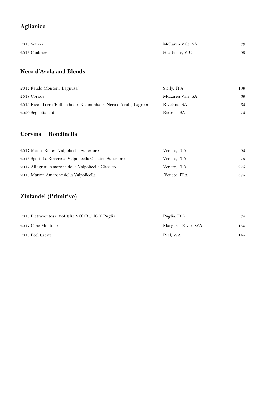#### **Aglianico**

| 2018 Somos    | McLaren Vale, SA | 79 |
|---------------|------------------|----|
| 2016 Chalmers | Heathcote, VIC   | 99 |

#### **Nero d'Avola and Blends**

| 2017 Feudo Montoni 'Lagnusa'                                        | Sicily, ITA      | 109 |
|---------------------------------------------------------------------|------------------|-----|
| 2018 Coriole                                                        | McLaren Vale, SA | 69  |
| 2019 Ricca Terra 'Bullets before Cannonballs' Nero d'Avola, Lagrein | Riveland, SA     | 65  |
| 2020 Seppeltsfield                                                  | Barossa, SA      | 75  |

#### **Corvina + Rondinella**

| 2017 Monte Ronca, Valpolicella Superiore                 | Veneto, ITA | 95  |
|----------------------------------------------------------|-------------|-----|
| 2016 Speri 'La Roverina' Valpolicella Classico Superiore | Veneto, ITA | 79  |
| 2017 Allegrini, Amarone della Valpolicella Classico      | Veneto, ITA | 275 |
| 2016 Marion Amarone della Valpolicella                   | Veneto, ITA | 375 |

## **Zinfandel (Primitivo)**

| 2018 Pietraventosa 'VoLERe VOlaRE' IGT Puglia | Puglia, ITA        | 74  |
|-----------------------------------------------|--------------------|-----|
| 2017 Cape Mentelle                            | Margaret River, WA | 130 |
| 2018 Peel Estate                              | Peel. WA           | 145 |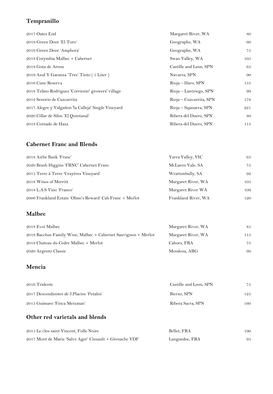## **Tempranillo**

| 2017 Oates End                                      | Margaret River, WA      | 80  |
|-----------------------------------------------------|-------------------------|-----|
| 2019 Green Door 'El Toro'                           | Geographe, WA           | 60  |
| 2019 Green Door 'Amphora'                           | Geographe, WA           | 75  |
| 2018 Corymbia Malbec + Cabernet                     | Swan Valley, WA         | 105 |
| 2018 Gota de Arena                                  | Castille and Leon, SPN  | 65  |
| 2019 Azul Y Garanza 'Tres' Tinto (1 Liter)          | Navarra, SPN            | 90  |
| 2016 Cune Reserva                                   | Rioja – Haro, SPN       | 155 |
| 2018 Telmo Rodriguez 'Corriente' growers' village   | Rioja – Lantziego, SPN  | 99  |
| 2012 Senorio de Cuzcurrita                          | Rioja – Cuzcurrita, SPN | 178 |
| 2017 Alegre y Valgañon 'la Calleja' Single Vineyard | Rioja – Sajazarra, SPN  | 221 |
| 2020 Cillar de Silos 'El Quintanal'                 | Ribera del Duero, SPN   | 80  |
| 2018 Contado de Haza                                | Ribera del Duero, SPN   | 115 |

#### **Cabernet Franc and Blends**

| 2018 Airlie Bank 'Franc'                                 | Yarra Valley, VIC   | 65  |
|----------------------------------------------------------|---------------------|-----|
| 2020 Brash Higgins 'FRNC' Cabernet Franc                 | McLaren Vale, SA    | 75  |
| 2015 Terre à Terre 'Crayères Vineyard'                   | Wrattonbully, SA    | 92  |
| 2018 Wines of Merritt                                    | Margaret River, WA  | 105 |
| 2018 L.A.S Vino 'Franco'                                 | Margaret River WA   | 109 |
| 2006 Frankland Estate 'Olmo's Reward' Cab Franc + Merlot | Frankland River, WA | 120 |

#### **Malbec**

| 2018 Evoi Malbec                                                   | Margaret River, WA | 85  |
|--------------------------------------------------------------------|--------------------|-----|
| 2019 Bacchus Family Wine, Malbec $+$ Cabernet Sauvignon $+$ Merlot | Margaret River, WA | 115 |
| 2018 Chateau du Cedre Malbec + Merlot                              | Cahors, FRA        | 75  |
| 2020 Argento Classic                                               | Mendoza, ARG       | 60  |

#### **Mencia**

| 2016 Tridente                             | Castille and Leon, SPN | 75   |
|-------------------------------------------|------------------------|------|
| 2017 Descendientes de J.Placios 'Petalos' | Bierzo, SPN            | 125  |
| 2015 Guimaro 'Finca Meixman'              | Ribera Sacra, SPN      | 160. |

#### **Other red varietals and blends**

| 2015 Le clos saint Vincent, Folle Noire                 | Bellet. FRA    | 190 |
|---------------------------------------------------------|----------------|-----|
| 2017 Mont de Marie 'Salve Ager' Cinsault + Grenache VDF | Languedoc, FRA |     |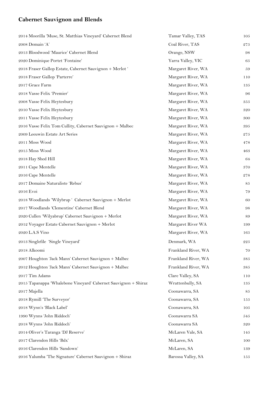## **Cabernet Sauvignon and Blends**

| 2014 Moorilla 'Muse, St. Matthias Vineyard' Cabernet Blend      | Tamar Valley, TAS   | 105 |
|-----------------------------------------------------------------|---------------------|-----|
| 2008 Domain 'A'                                                 | Coal River, TAS     | 275 |
| 2013 Bloodwood 'Maurice' Cabernet Blend                         | Orange, NSW         | 98  |
| 2020 Dominique Portet 'Fontaine'                                | Yarra Valley, VIC   | 65  |
| 2018 Fraser Gallop Estate, Cabernet Sauvignon + Merlot '        | Margaret River, WA  | 59  |
| 2018 Fraser Gallop 'Parterre'                                   | Margaret River, WA  | 110 |
| 2017 Grace Farm                                                 | Margaret River, WA  | 135 |
| 2018 Vasse Felix 'Premier'                                      | Margaret River, WA  | 96  |
| 2008 Vasse Felix Heytesbury                                     | Margaret River, WA  | 355 |
| 2010 Vasse Felix Heytesbury                                     | Margaret River, WA  | 320 |
| 2011 Vasse Felix Heytesbury                                     | Margaret River, WA  | 300 |
| 2016 Vasse Felix Tom Cullity, Cabernet Sauvignon + Malbec       | Margaret River, WA  | 395 |
| 2009 Leeuwin Estate Art Series                                  | Margaret River, WA  | 275 |
| 2011 Moss Wood                                                  | Margaret River, WA  | 478 |
| 2015 Moss Wood                                                  | Margaret River, WA  | 463 |
| 2018 Hay Shed Hill                                              | Margaret River, WA  | 64  |
| 2011 Cape Mentelle                                              | Margaret River, WA  | 370 |
| 2016 Cape Mentelle                                              | Margaret River, WA  | 278 |
| 2017 Domaine Naturaliste 'Rebus'                                | Margaret River, WA  | 85  |
| 2016 Evoi                                                       | Margaret River, WA  | 79  |
| 2018 Woodlands 'Wilybrup' Cabernet Sauvignon + Merlot           | Margaret River, WA  | 60  |
| 2017 Woodlands 'Clementine' Cabernet Blend                      | Margaret River, WA  | 98  |
| 2020 Cullen 'Wilyabrup' Cabernet Sauvignon + Merlot             | Margaret River, WA  | 89  |
| 2012 Voyager Estate Cabernet Sauvignon + Merlot                 | Margaret River WA   | 199 |
| 2020 L.A.S Vino                                                 | Margaret River, WA  | 165 |
| 2013 Singlefile 'Single Vineyard'                               | Denmark, WA         | 225 |
| 2018 Alkoomi                                                    | Frankland River, WA | 70  |
| 2007 Houghton 'Jack Mann' Cabernet Sauvignon + Malbec           | Frankland River, WA | 385 |
| 2012 Houghton 'Jack Mann' Cabernet Sauvignon + Malbec           | Frankland River, WA | 385 |
| 2017 Tim Adams                                                  | Clare Valley, SA    | 110 |
| 2015 Tapanappa 'Whalebone Vineyard' Cabernet Sauvignon + Shiraz | Wrattonbully, SA    | 135 |
| 2017 Majella                                                    | Coonawarra, SA      | 85  |
| 2018 Rymill 'The Surveyor'                                      | Coonawarra, SA      | 155 |
| 2018 Wynn's 'Black Label'                                       | Coonawarra, SA      | 105 |
| 1990 Wynns 'John Riddoch'                                       | Coonawarra SA       | 545 |
| 2018 Wynns 'John Riddoch'                                       | Coonawarra SA       | 320 |
| 2014 Oliver's Taranga 'DJ Reserve'                              | McLaren Vale, SA    | 145 |
| 2017 Clarendon Hills 'Bdx'                                      | McLaren, SA         | 100 |
| 2016 Clarendon Hills 'Sandown'                                  | McLaren, SA         | 139 |
| 2016 Yalumba 'The Signature' Cabernet Sauvignon + Shiraz        | Barossa Valley, SA  | 155 |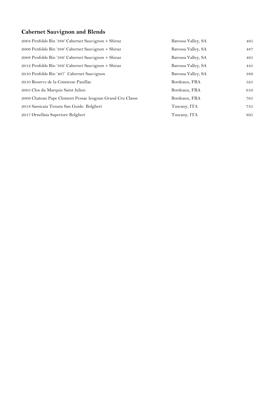## **Cabernet Sauvignon and Blends**

| 2004 Penfolds Bin '389' Cabernet Sauvignon + Shiraz       | Barossa Valley, SA | 495 |
|-----------------------------------------------------------|--------------------|-----|
| 2006 Penfolds Bin '389' Cabernet Sauvignon + Shiraz       | Barossa Valley, SA | 487 |
| 2008 Penfolds Bin '389' Cabernet Sauvignon + Shiraz       | Barossa Valley, SA | 495 |
| 2012 Penfolds Bin '389' Cabernet Sauvignon + Shiraz       | Barossa Valley, SA | 445 |
| 2010 Penfolds Bin '407' Cabernet Sauvignon                | Barossa Valley, SA | 389 |
| 2010 Reserve de la Comtesse Pauillac                      | Bordeaux, FRA      | 525 |
| 2005 Clos du Marquis Saint Julien                         | Bordeaux, FRA      | 610 |
| 2009 Chateau Pape Clement Pessac leognan Grand Cru Classe | Bordeaux, FRA      | 765 |
| 2018 Sassicaia Tenuta San Guido Bolgheri                  | Tuscany, ITA       | 735 |
| 2017 Ornellaia Superiore Bolgheri                         | Tuscany, ITA       | 895 |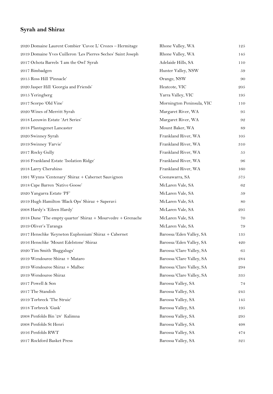#### **Syrah and Shiraz**

| 2020 Domaine Laurent Combier 'Cuvee L' Crozes - Hermitage     | Rhone Valley, WA          | 125 |
|---------------------------------------------------------------|---------------------------|-----|
| 2019 Domaine Yves Cuilleron 'Les Pierres Seches' Saint Joseph | Rhone Valley, WA          | 145 |
| 2017 Ochota Barrels 'I am the Owl' Syrah                      | Adelaide Hills, SA        | 110 |
| 2017 Bimbadgen                                                | Hunter Valley, NSW        | 59  |
| 2015 Ross Hill 'Pinnacle'                                     | Orange, NSW               | 90  |
| 2020 Jasper Hill 'Georgia and Friends'                        | Heatcote, VIC             | 205 |
| 2015 Yeringberg                                               | Yarra Valley, VIC         | 195 |
| 2017 Scorpo 'Old Vine'                                        | Mornington Peninsula, VIC | 110 |
| 2020 Wines of Merritt Syrah                                   | Margaret River, WA        | 95  |
| 2018 Leeuwin Estate 'Art Series'                              | Margaret River, WA        | 92  |
| 2018 Plantagenet Lancaster                                    | Mount Baker, WA           | 89  |
| 2020 Swinney Syrah                                            | Frankland River, WA       | 105 |
| 2019 Swinney 'Farvie'                                         | Frankland River, WA       | 310 |
| 2017 Rocky Gully                                              | Frankland River, WA       | 55  |
| 2016 Frankland Estate 'Isolation Ridge'                       | Frankland River, WA       | 96  |
| 2018 Larry Cherubino                                          | Frankland River, WA       | 160 |
| 1991 Wynns 'Centenary' Shiraz + Cabernet Sauvignon            | Coonawarra, SA            | 575 |
| 2018 Cape Barren 'Native Goose'                               | McLaren Vale, SA          | 62  |
| 2020 Yangarra Estate 'PF'                                     | McLaren Vale, SA          | 59  |
| 2019 Hugh Hamilton 'Black Ops' Shiraz + Saperavi              | McLaren Vale, SA          | 80  |
| 2008 Hardy's 'Eileen Hardy'                                   | McLaren Vale, SA          | 295 |
| 2018 Dune 'The empty quarter' Shiraz + Mourvedre + Grenache   | McLaren Vale, SA          | 70  |
| 2019 Oliver's Taranga                                         | McLaren Vale, SA          | 79  |
| 2017 Henschke 'Keyneton Euphonium' Shiraz + Cabernet          | Barossa/Eden Valley, SA   | 135 |
| 2016 Henschke 'Mount Edelstone' Shiraz                        | Barossa/Eden Valley, SA   | 420 |
| 2020 Tim Smith 'Buggalugs'                                    | Barossa/Clare Valley, SA  | 65  |
| 2019 Wendouree Shiraz + Mataro                                | Barossa/Clare Valley, SA  | 284 |
| 2019 Wendouree Shiraz + Malbec                                | Barossa/Clare Valley, SA  | 294 |
| 2019 Wendouree Shiraz                                         | Barossa/Clare Valley, SA  | 335 |
| 2017 Powell & Son                                             | Barossa Valley, SA        | 74  |
| 2017 The Standish                                             | Barossa Valley, SA        | 245 |
| 2019 Torbreck 'The Struie'                                    | Barossa Valley, SA        | 145 |
| 2018 Torbreck 'Gask'                                          | Barossa Valley, SA        | 195 |
| 2008 Penfolds Bin '28' Kalimna                                | Barossa Valley, SA        | 295 |
| 2008 Penfolds St Henri                                        | Barossa Valley, SA        | 498 |
| 2016 Penfolds RWT                                             | Barossa Valley, SA        | 474 |
| 2017 Rockford Basket Press                                    | Barossa Valley, SA        | 321 |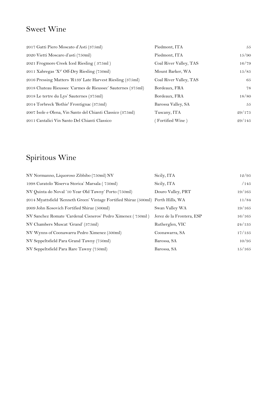## Sweet Wine

| 2017 Gatti Piero Moscato d'Asti (375ml)                      | Piedmont, ITA          | 55     |
|--------------------------------------------------------------|------------------------|--------|
| 2020 Vietti Moscaro d'asti (750ml)                           | Piedmont, ITA          | 15/90  |
| 2021 Frogmore Creek Iced Riesling (375ml)                    | Coal River Valley, TAS | 16/79  |
| 2011 Xabregas 'X <sup>2</sup> ' Off-Dry Riesling (750ml)     | Mount Barker, WA       | 15/85  |
| 2016 Pressing Matters 'R139' Late Harvest Riesling (375ml)   | Coal River Valley, TAS | 65     |
| 2018 Chateau Rieussec 'Carmes de Rieussec' Sauternes (375ml) | Bordeaux, FRA          | 78     |
| 2018 Le tertre du Lys' Sauternes (375ml)                     | Bordeaux, FRA          | 18/80  |
| 2014 Torbreck 'Bothie' Frontignac (375ml)                    | Barossa Valley, SA     | 55     |
| 2007 Isole e Olena, Vin Santo del Chianti Classico (375ml)   | Tuscany, ITA           | 29/175 |
| 2011 Cantalici Vin Santo Del Chianti Classico                | Fortified Wine)        | 29/145 |

## Spiritous Wine

| NV Normanno, Liquoroso Zibbibo (750ml) NV                                         | Sicily, ITA               | 12/95  |
|-----------------------------------------------------------------------------------|---------------------------|--------|
| 1998 Curatolo 'Riserva Storica' Marsala (750ml)                                   | Sicily, ITA               | /145   |
| NV Quinta do Noval '10 Year Old Tawny' Porto (750ml)                              | Douro Valley, PRT         | 19/165 |
| 2014 Myattsfield 'Kenneth Green' Vintage Fortified Shiraz (500ml) Perth Hills, WA |                           | 11/84  |
| 2009 John Kosovich Fortified Shiraz (500ml)                                       | Swan Valley WA            | 19/165 |
| NV Sanchez Romate 'Cardenal Cisneros' Pedro Ximenez (750ml)                       | Jerez de la Frontera, ESP | 16/165 |
| NV Chambers Muscat 'Grand' (375ml)                                                | Rutherglen, VIC           | 24/135 |
| NV Wynns of Coonawarra Pedro Ximenez (500ml)                                      | Coonawarra, SA            | 17/135 |
| NV Seppeltsfield Para Grand Tawny (750ml)                                         | Barossa, SA               | 10/95  |
| NV Seppeltsfield Para Rare Tawny (750ml)                                          | Barossa, SA               | 15/165 |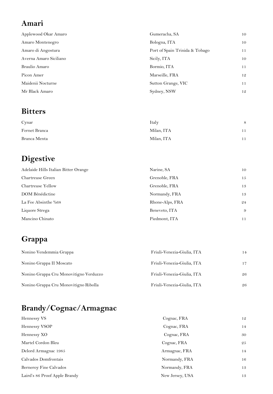## **Amari**

| Applewood Okar Amaro   | Gumeracha, SA                  | 10 |
|------------------------|--------------------------------|----|
| Amaro Montenegro       | Bologna, ITA                   | 10 |
| Amaro di Angostura     | Port of Spain Trinida & Tobago | 11 |
| Averna Amaro Siciliano | Sicily, ITA                    | 10 |
| Braulio Amaro          | Bormio, ITA                    | 11 |
| Picon Amer             | Marseille, FRA                 | 12 |
| Maidenii Nocturne      | Sutton Grange, VIC             | 11 |
| Mr Black Amaro         | Sydney, NSW                    | 12 |

## **Bitters**

| Cynar         | Italy      | 8  |
|---------------|------------|----|
| Fernet Branca | Milan, ITA | 11 |
| Branca Menta  | Milan, ITA | 11 |

## **Digestive**

| Adelaide Hills Italian Bitter Orange | Narine, SA      | 10 |
|--------------------------------------|-----------------|----|
| Chartreuse Green                     | Grenoble, FRA   | 15 |
| Chartreuse Yellow                    | Grenoble, FRA   | 13 |
| DOM Bénédictine                      | Normandy, FRA   | 13 |
| La Fee Absinthe %68                  | Rhone-Alps, FRA | 24 |
| Liquore Strega                       | Beneveto, ITA   | 9  |
| Mancino Chinato                      | Piedmont, ITA   | 11 |

## **Grappa**

| Nonino Vendemmia Grappa                | Friuli-Venezia-Giulia, ITA | 14 |
|----------------------------------------|----------------------------|----|
| Nonino Grappa II Moscato               | Friuli-Venezia-Giulia, ITA | 17 |
| Nonino Grappa Cru Monovitigno Verduzzo | Friuli-Venezia-Giulia, ITA | 26 |
| Nonino Grappa Cru Monovitigno Ribolla  | Friuli-Venezia-Giulia, ITA | 26 |

## **Brandy/Cognac/Armagnac**

| Hennessy VS                   | Cognac, FRA     | 12 |
|-------------------------------|-----------------|----|
| Hennessy VSOP                 | Cognac, FRA     | 14 |
| Hennessy XO                   | Cognac, FRA     | 30 |
| Martel Cordon Bleu            | Cognac, FRA     | 25 |
| Delord Armagnac 1985          | Armagnac, FRA   | 14 |
| Calvados Domfrontais          | Normandy, FRA   | 16 |
| Berneroy Fine Calvados        | Normandy, FRA   | 13 |
| Laird's 86 Proof Apple Brandy | New Jersey, USA | 13 |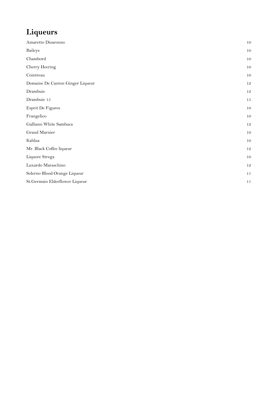## **Liqueurs**

| Amaretto Disaronno               | 10 |
|----------------------------------|----|
| <b>Baileys</b>                   | 10 |
| Chambord                         | 10 |
| Cherry Heering                   | 10 |
| Cointreau                        | 10 |
| Domaine De Canton Ginger Liqueur | 12 |
| Drambuie                         | 12 |
| Drambuie 15                      | 15 |
| Esprit De Figures                | 10 |
| Frangelico                       | 10 |
| Galliano White Sambuca           | 12 |
| Grand Marnier                    | 10 |
| Kahlua                           | 10 |
| Mr. Black Coffee liqueur         | 12 |
| Liquore Strega                   | 10 |
| Luxardo Maraschino               | 12 |
| Solerno Blood Orange Liqueur     | 11 |
| St.Germain Elderflower Liqueur   | 11 |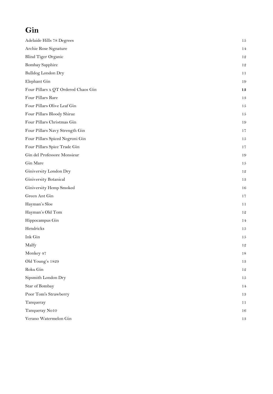## **Gin**

| 14<br>12<br>12<br>11<br>19<br>13<br>13<br>15<br>15<br>19<br>17<br>15<br>17<br>19<br>15<br>12<br>13<br>16<br>17<br>11<br>12<br>14<br>15<br>15<br>12<br>18<br>13<br>12<br>15<br>14<br>13<br>11<br>16 | Adelaide Hills 78 Degrees           | 15 |
|----------------------------------------------------------------------------------------------------------------------------------------------------------------------------------------------------|-------------------------------------|----|
|                                                                                                                                                                                                    | Archie Rose Signature               |    |
|                                                                                                                                                                                                    | Blind Tiger Organic                 |    |
|                                                                                                                                                                                                    | <b>Bombay Sapphire</b>              |    |
|                                                                                                                                                                                                    | <b>Bulldog London Dry</b>           |    |
|                                                                                                                                                                                                    | Elephant Gin                        |    |
|                                                                                                                                                                                                    | Four Pillars x QT Ordered Chaos Gin |    |
|                                                                                                                                                                                                    | Four Pillars Rare                   |    |
|                                                                                                                                                                                                    | Four Pillars Olive Leaf Gin         |    |
|                                                                                                                                                                                                    | Four Pillars Bloody Shiraz          |    |
|                                                                                                                                                                                                    | Four Pillars Christmas Gin          |    |
|                                                                                                                                                                                                    | Four Pillars Navy Strength Gin      |    |
|                                                                                                                                                                                                    | Four Pillars Spiced Negroni Gin     |    |
|                                                                                                                                                                                                    | Four Pillars Spice Trade Gin        |    |
|                                                                                                                                                                                                    | Gin del Professore Monsieur         |    |
|                                                                                                                                                                                                    | Gin Mare                            |    |
|                                                                                                                                                                                                    | Giniversity London Dry              |    |
|                                                                                                                                                                                                    | Giniversity Botanical               |    |
|                                                                                                                                                                                                    | Giniversity Hemp Smoked             |    |
|                                                                                                                                                                                                    | Green Ant Gin                       |    |
|                                                                                                                                                                                                    | Hayman's Sloe                       |    |
|                                                                                                                                                                                                    | Hayman's Old Tom                    |    |
|                                                                                                                                                                                                    | Hippocampus Gin                     |    |
|                                                                                                                                                                                                    | Hendricks                           |    |
|                                                                                                                                                                                                    | Ink Gin                             |    |
|                                                                                                                                                                                                    | Malfy                               |    |
|                                                                                                                                                                                                    | Monkey 47                           |    |
|                                                                                                                                                                                                    | Old Young's 1829                    |    |
|                                                                                                                                                                                                    | Roku Gin                            |    |
|                                                                                                                                                                                                    | Sipsmith London Dry                 |    |
|                                                                                                                                                                                                    | Star of Bombay                      |    |
|                                                                                                                                                                                                    | Poor Tom's Strawberry               |    |
|                                                                                                                                                                                                    | Tanqueray                           |    |
|                                                                                                                                                                                                    | Tanqueray No10                      |    |
|                                                                                                                                                                                                    | Verano Watermelon Gin               | 13 |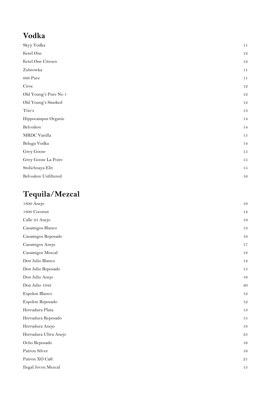## **Vodka**

| Skyy Vodka            | 11     |
|-----------------------|--------|
| Ketel One             | 12     |
| Ketel One Citroen     | 12     |
| Zubrowka              | 11     |
| 666 Pure              | 11     |
| Ciroc                 | 12     |
| Old Young's Pure No 1 | 12     |
| Old Young's Smoked    | 12     |
| Tito's                | 13     |
| Hippocampus Organic   | 14     |
| Belvedere             | 14     |
| MRDC Vanilla          | $15\,$ |
| Beluga Vodka          | 14     |
| Grey Goose            | $15\,$ |
| Grey Goose La Poire   | $15\,$ |
| Stolichnaya Elit      | 15     |
| Belvedere Unfiltered  | 16     |

# **Tequila/Mezcal**

| 1800 Anejo            | 16       |
|-----------------------|----------|
| $1800$ Coconut        | 14       |
| Calle 23 Anejo        | 19       |
| Casamigos Blanco      | $13\,$   |
| Casamigos Reposado    | 16       |
| Casamigos Anejo       | 17       |
| Casamigos Mezcal      | 18       |
| Don Julio Blanco      | 14       |
| Don Julio Reposado    | $15\,$   |
| Don Julio Anejo       | 16       |
| Don Julio 1942        | $30\,$   |
| Espolon Blanco        | 12       |
| Espolon Reposado      | 12       |
| Herradura Plata       | $13\,$   |
| Herradura Reposado    | 15       |
| Herradura Anejo       | $1\,8$   |
| Herradura Ultra Anejo | $\bf 35$ |
| Ocho Reposado         | 16       |
| Patron Silver         | 16       |
| Patron XO Café        | 21       |
| Ilegal Joven Mezcal   | $15\,$   |
|                       |          |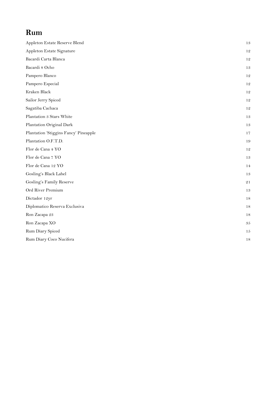## **Rum**

| Appleton Estate Reserve Blend         | 13       |
|---------------------------------------|----------|
| Appleton Estate Signature             | 12       |
| Bacardi Carta Blanca                  | 12       |
| Bacardi 8 Ocho                        | 13       |
| Pampero Blanco                        | 12       |
| Pampero Especial                      | 12       |
| Kraken Black                          | 12       |
| Sailor Jerry Spiced                   | 12       |
| Sagatiba Cachaca                      | 12       |
| Plantation 3 Stars White              | 13       |
| Plantation Original Dark              | 13       |
| Plantation 'Stiggins Fancy' Pineapple | 17       |
| Plantation O.F.T.D.                   | 19       |
| Flor de Cana 4 YO                     | 12       |
| Flor de Cana 7 YO                     | 13       |
| Flor de Cana 12 YO                    | 14       |
| Gosling's Black Label                 | 13       |
| Gosling's Family Reserve              | 21       |
| Ord River Premium                     | 13       |
| Dictador 12yr                         | 18       |
| Diplomatico Reserva Exclusiva         | 18       |
| Ron Zacapa 23                         | 18       |
| Ron Zacapa XO                         | $\rm 35$ |
| Rum Diary Spiced                      | 15       |
| Rum Diary Coco Nucifera               | 18       |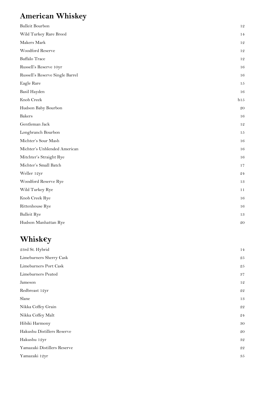## **American Whiskey**

| <b>Bulleit Bourbon</b>          | 12            |
|---------------------------------|---------------|
| Wild Turkey Rare Breed          | 14            |
| Makers Mark                     | 12            |
| Woodford Reserve                | 12            |
| <b>Buffalo Trace</b>            | 12            |
| Russell's Reserve 10yr          | 16            |
| Russell's Reserve Single Barrel | 16            |
| Eagle Rare                      | 15            |
| Basil Hayden                    | 16            |
| Knob Creek                      | b15           |
| Hudson Baby Bourbon             | 20            |
| <b>Bakers</b>                   | 16            |
| Gentleman Jack                  | 12            |
| Longbranch Bourbon              | 15            |
| Michter's Sour Mash             | 16            |
| Michter's Unblended American    | 16            |
| Mitchter's Straight Rye         | 16            |
| Michter's Small Batch           | 17            |
| Weller 12yr                     | $\mathbf{24}$ |
| Woodford Reserve Rye            | 13            |
| Wild Turkey Rye                 | 11            |
| Knob Creek Rye                  | 16            |
| Rittenhouse Rye                 | 16            |
| <b>Bulleit Rye</b>              | 13            |
| Hudson Manhattan Rye            | 20            |

## **Whisk€y**

| 23rd St. Hybrid             | 14          |
|-----------------------------|-------------|
| Limeburners Sherry Cask     | 25          |
| Limeburners Port Cask       | 25          |
| Limeburners Peated          | 37          |
| Jameson                     | 12          |
| Redbreast 12yr              | 22          |
| Slane                       | 13          |
| Nikka Coffey Grain          | 22          |
| Nikka Coffey Malt           | 24          |
| Hibiki Harmony              | 30          |
| Hakushu Distillers Reserve  | 20          |
| Hakushu 12yr                | $\sqrt{32}$ |
| Yamazaki Distillers Reserve | 22          |
| Yamazaki 12yr               | 35          |